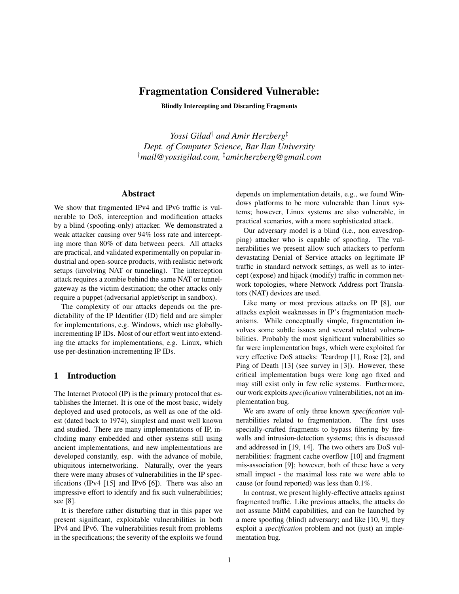# Fragmentation Considered Vulnerable:

Blindly Intercepting and Discarding Fragments

*Yossi Gilad*† *and Amir Herzberg*‡ *Dept. of Computer Science, Bar Ilan University* †*mail@yossigilad.com,* ‡*amir.herzberg@gmail.com*

## Abstract

We show that fragmented IPv4 and IPv6 traffic is vulnerable to DoS, interception and modification attacks by a blind (spoofing-only) attacker. We demonstrated a weak attacker causing over 94% loss rate and intercepting more than 80% of data between peers. All attacks are practical, and validated experimentally on popular industrial and open-source products, with realistic network setups (involving NAT or tunneling). The interception attack requires a zombie behind the same NAT or tunnelgateway as the victim destination; the other attacks only require a puppet (adversarial applet/script in sandbox).

The complexity of our attacks depends on the predictability of the IP Identifier (ID) field and are simpler for implementations, e.g. Windows, which use globallyincrementing IP IDs. Most of our effort went into extending the attacks for implementations, e.g. Linux, which use per-destination-incrementing IP IDs.

### 1 Introduction

The Internet Protocol (IP) is the primary protocol that establishes the Internet. It is one of the most basic, widely deployed and used protocols, as well as one of the oldest (dated back to 1974), simplest and most well known and studied. There are many implementations of IP, including many embedded and other systems still using ancient implementations, and new implementations are developed constantly, esp. with the advance of mobile, ubiquitous internetworking. Naturally, over the years there were many abuses of vulnerabilities in the IP specifications (IPv4 [15] and IPv6 [6]). There was also an impressive effort to identify and fix such vulnerabilities; see [8].

It is therefore rather disturbing that in this paper we present significant, exploitable vulnerabilities in both IPv4 and IPv6. The vulnerabilities result from problems in the specifications; the severity of the exploits we found depends on implementation details, e.g., we found Windows platforms to be more vulnerable than Linux systems; however, Linux systems are also vulnerable, in practical scenarios, with a more sophisticated attack.

Our adversary model is a blind (i.e., non eavesdropping) attacker who is capable of spoofing. The vulnerabilities we present allow such attackers to perform devastating Denial of Service attacks on legitimate IP traffic in standard network settings, as well as to intercept (expose) and hijack (modify) traffic in common network topologies, where Network Address port Translators (NAT) devices are used.

Like many or most previous attacks on IP [8], our attacks exploit weaknesses in IP's fragmentation mechanisms. While conceptually simple, fragmentation involves some subtle issues and several related vulnerabilities. Probably the most significant vulnerabilities so far were implementation bugs, which were exploited for very effective DoS attacks: Teardrop [1], Rose [2], and Ping of Death [13] (see survey in [3]). However, these critical implementation bugs were long ago fixed and may still exist only in few relic systems. Furthermore, our work exploits *specification* vulnerabilities, not an implementation bug.

We are aware of only three known *specification* vulnerabilities related to fragmentation. The first uses specially-crafted fragments to bypass filtering by firewalls and intrusion-detection systems; this is discussed and addressed in [19, 14]. The two others are DoS vulnerabilities: fragment cache overflow [10] and fragment mis-association [9]; however, both of these have a very small impact - the maximal loss rate we were able to cause (or found reported) was less than 0.1%.

In contrast, we present highly-effective attacks against fragmented traffic. Like previous attacks, the attacks do not assume MitM capabilities, and can be launched by a mere spoofing (blind) adversary; and like [10, 9], they exploit a *specification* problem and not (just) an implementation bug.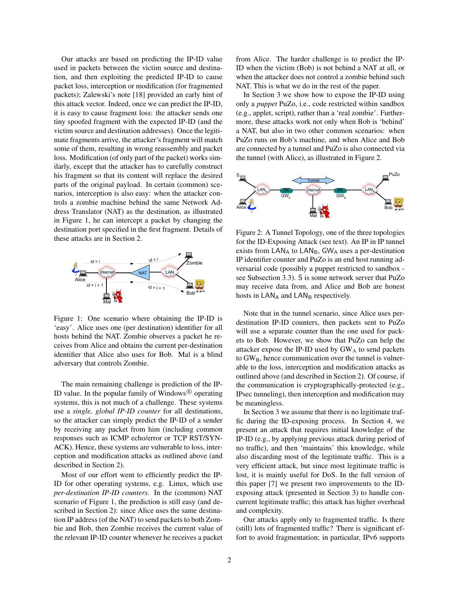Our attacks are based on predicting the IP-ID value used in packets between the victim source and destination, and then exploiting the predicted IP-ID to cause packet loss, interception or modification (for fragmented packets); Zalewski's note [18] provided an early hint of this attack vector. Indeed, once we can predict the IP-ID, it is easy to cause fragment loss: the attacker sends one tiny spoofed fragment with the expected IP-ID (and the victim source and destination addresses). Once the legitimate fragments arrive, the attacker's fragment will match some of them, resulting in wrong reassembly and packet loss. Modification (of only part of the packet) works similarly, except that the attacker has to carefully construct his fragment so that its content will replace the desired parts of the original payload. In certain (common) scenarios, interception is also easy: when the attacker controls a zombie machine behind the same Network Address Translator (NAT) as the destination, as illustrated in Figure 1, he can intercept a packet by changing the destination port specified in the first fragment. Details of these attacks are in Section 2.



Figure 1: One scenario where obtaining the IP-ID is 'easy'. Alice uses one (per destination) identifier for all hosts behind the NAT. Zombie observes a packet he receives from Alice and obtains the current per-destination identifier that Alice also uses for Bob. Mal is a blind adversary that controls Zombie.

The main remaining challenge is prediction of the IP-ID value. In the popular family of Windows<sup>®</sup> operating systems, this is not much of a challenge. These systems use a *single, global IP-ID counter* for all destinations, so the attacker can simply predict the IP-ID of a sender by receiving any packet from him (including common responses such as ICMP echo/error or TCP RST/SYN-ACK). Hence, these systems are vulnerable to loss, interception and modification attacks as outlined above (and described in Section 2).

Most of our effort went to efficiently predict the IP-ID for other operating systems, e.g. Linux, which use *per-destination IP-ID counters*. In the (common) NAT scenario of Figure 1, the prediction is still easy (and described in Section 2): since Alice uses the same destination IP address (of the NAT) to send packets to both Zombie and Bob, then Zombie receives the current value of the relevant IP-ID counter whenever he receives a packet from Alice. The harder challenge is to predict the IP-ID when the victim (Bob) is not behind a NAT at all, or when the attacker does not control a zombie behind such NAT. This is what we do in the rest of the paper.

In Section 3 we show how to expose the IP-ID using only a *puppet* PuZo, i.e., code restricted within sandbox (e.g., applet, script), rather than a 'real zombie'. Furthermore, these attacks work not only when Bob is 'behind' a NAT, but also in two other common scenarios: when PuZo runs on Bob's machine, and when Alice and Bob are connected by a tunnel and PuZo is also connected via the tunnel (with Alice), as illustrated in Figure 2.



Figure 2: A Tunnel Topology, one of the three topologies for the ID-Exposing Attack (see text). An IP in IP tunnel exists from  $LAN_A$  to  $LAN_B$ , GW<sub>A</sub> uses a per-destination IP identifier counter and PuZo is an end host running adversarial code (possibly a puppet restricted to sandbox see Subsection 3.3). S is some network server that PuZo may receive data from, and Alice and Bob are honest hosts in  $LAN<sub>A</sub>$  and  $LAN<sub>B</sub>$  respectively.

Note that in the tunnel scenario, since Alice uses perdestination IP-ID counters, then packets sent to PuZo will use a separate counter than the one used for packets to Bob. However, we show that PuZo can help the attacker expose the IP-ID used by GW<sup>A</sup> to send packets to  $GW_B$ , hence communication over the tunnel is vulnerable to the loss, interception and modification attacks as outlined above (and described in Section 2). Of course, if the communication is cryptographically-protected (e.g., IPsec tunneling), then interception and modification may be meaningless.

In Section 3 we assume that there is no legitimate traffic during the ID-exposing process. In Section 4, we present an attack that requires initial knowledge of the IP-ID (e.g., by applying previous attack during period of no traffic), and then 'maintains' this knowledge, while also discarding most of the legitimate traffic. This is a very efficient attack, but since most legitimate traffic is lost, it is mainly useful for DoS. In the full version of this paper [7] we present two improvements to the IDexposing attack (presented in Section 3) to handle concurrent legitimate traffic; this attack has higher overhead and complexity.

Our attacks apply only to fragmented traffic. Is there (still) lots of fragmented traffic? There is significant effort to avoid fragmentation; in particular, IPv6 supports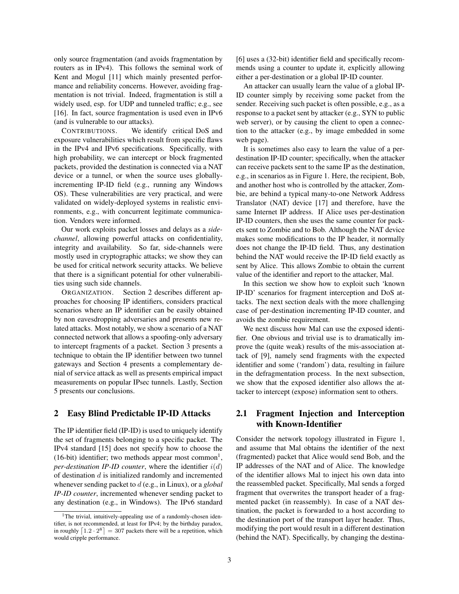only source fragmentation (and avoids fragmentation by routers as in IPv4). This follows the seminal work of Kent and Mogul [11] which mainly presented performance and reliability concerns. However, avoiding fragmentation is not trivial. Indeed, fragmentation is still a widely used, esp. for UDP and tunneled traffic; e.g., see [16]. In fact, source fragmentation is used even in IPv6 (and is vulnerable to our attacks).

CONTRIBUTIONS. We identify critical DoS and exposure vulnerabilities which result from specific flaws in the IPv4 and IPv6 specifications. Specifically, with high probability, we can intercept or block fragmented packets, provided the destination is connected via a NAT device or a tunnel, or when the source uses globallyincrementing IP-ID field (e.g., running any Windows OS). These vulnerabilities are very practical, and were validated on widely-deployed systems in realistic environments, e.g., with concurrent legitimate communication. Vendors were informed.

Our work exploits packet losses and delays as a *sidechannel*, allowing powerful attacks on confidentiality, integrity and availability. So far, side-channels were mostly used in cryptographic attacks; we show they can be used for critical network security attacks. We believe that there is a significant potential for other vulnerabilities using such side channels.

ORGANIZATION. Section 2 describes different approaches for choosing IP identifiers, considers practical scenarios where an IP identifier can be easily obtained by non eavesdropping adversaries and presents new related attacks. Most notably, we show a scenario of a NAT connected network that allows a spoofing-only adversary to intercept fragments of a packet. Section 3 presents a technique to obtain the IP identifier between two tunnel gateways and Section 4 presents a complementary denial of service attack as well as presents empirical impact measurements on popular IPsec tunnels. Lastly, Section 5 presents our conclusions.

### 2 Easy Blind Predictable IP-ID Attacks

The IP identifier field (IP-ID) is used to uniquely identify the set of fragments belonging to a specific packet. The IPv4 standard [15] does not specify how to choose the (16-bit) identifier; two methods appear most common<sup>1</sup>, *per-destination IP-ID counter*, where the identifier  $i(d)$ of destination  $d$  is initialized randomly and incremented whenever sending packet to d (e.g., in Linux), or a *global IP-ID counter*, incremented whenever sending packet to any destination (e.g., in Windows). The IPv6 standard [6] uses a (32-bit) identifier field and specifically recommends using a counter to update it, explicitly allowing either a per-destination or a global IP-ID counter.

An attacker can usually learn the value of a global IP-ID counter simply by receiving some packet from the sender. Receiving such packet is often possible, e.g., as a response to a packet sent by attacker (e.g., SYN to public web server), or by causing the client to open a connection to the attacker (e.g., by image embedded in some web page).

It is sometimes also easy to learn the value of a perdestination IP-ID counter; specifically, when the attacker can receive packets sent to the same IP as the destination, e.g., in scenarios as in Figure 1. Here, the recipient, Bob, and another host who is controlled by the attacker, Zombie, are behind a typical many-to-one Network Address Translator (NAT) device [17] and therefore, have the same Internet IP address. If Alice uses per-destination IP-ID counters, then she uses the same counter for packets sent to Zombie and to Bob. Although the NAT device makes some modifications to the IP header, it normally does not change the IP-ID field. Thus, any destination behind the NAT would receive the IP-ID field exactly as sent by Alice. This allows Zombie to obtain the current value of the identifier and report to the attacker, Mal.

In this section we show how to exploit such 'known IP-ID' scenarios for fragment interception and DoS attacks. The next section deals with the more challenging case of per-destination incrementing IP-ID counter, and avoids the zombie requirement.

We next discuss how Mal can use the exposed identifier. One obvious and trivial use is to dramatically improve the (quite weak) results of the mis-association attack of [9], namely send fragments with the expected identifier and some ('random') data, resulting in failure in the defragmentation process. In the next subsection, we show that the exposed identifier also allows the attacker to intercept (expose) information sent to others.

## 2.1 Fragment Injection and Interception with Known-Identifier

Consider the network topology illustrated in Figure 1, and assume that Mal obtains the identifier of the next (fragmented) packet that Alice would send Bob, and the IP addresses of the NAT and of Alice. The knowledge of the identifier allows Mal to inject his own data into the reassembled packet. Specifically, Mal sends a forged fragment that overwrites the transport header of a fragmented packet (in reassembly). In case of a NAT destination, the packet is forwarded to a host according to the destination port of the transport layer header. Thus, modifying the port would result in a different destination (behind the NAT). Specifically, by changing the destina-

<sup>&</sup>lt;sup>1</sup>The trivial, intuitively-appealing use of a randomly-chosen identifier, is not recommended, at least for IPv4; by the birthday paradox, in roughly  $\lceil 1.2 \cdot 2^8 \rceil = 307$  packets there will be a repetition, which would cripple performance.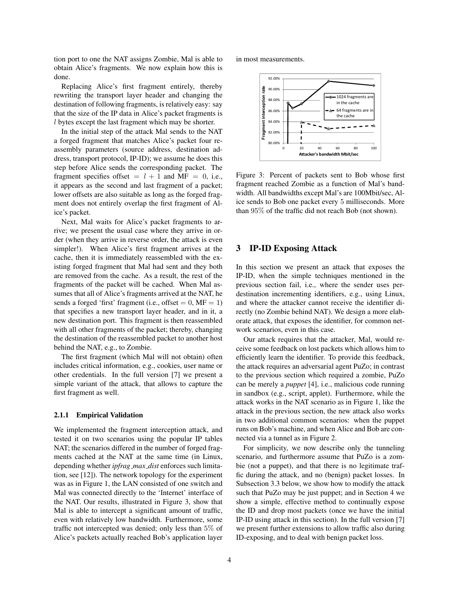tion port to one the NAT assigns Zombie, Mal is able to obtain Alice's fragments. We now explain how this is done.

Replacing Alice's first fragment entirely, thereby rewriting the transport layer header and changing the destination of following fragments, is relatively easy: say that the size of the IP data in Alice's packet fragments is l bytes except the last fragment which may be shorter.

In the initial step of the attack Mal sends to the NAT a forged fragment that matches Alice's packet four reassembly parameters (source address, destination address, transport protocol, IP-ID); we assume he does this step before Alice sends the corresponding packet. The fragment specifies offset  $=$   $l + 1$  and MF  $=$  0, i.e., it appears as the second and last fragment of a packet; lower offsets are also suitable as long as the forged fragment does not entirely overlap the first fragment of Alice's packet.

Next, Mal waits for Alice's packet fragments to arrive; we present the usual case where they arrive in order (when they arrive in reverse order, the attack is even simpler!). When Alice's first fragment arrives at the cache, then it is immediately reassembled with the existing forged fragment that Mal had sent and they both are removed from the cache. As a result, the rest of the fragments of the packet will be cached. When Mal assumes that all of Alice's fragments arrived at the NAT, he sends a forged 'first' fragment (i.e., offset  $= 0$ , MF  $= 1$ ) that specifies a new transport layer header, and in it, a new destination port. This fragment is then reassembled with all other fragments of the packet; thereby, changing the destination of the reassembled packet to another host behind the NAT, e.g., to Zombie.

The first fragment (which Mal will not obtain) often includes critical information, e.g., cookies, user name or other credentials. In the full version [7] we present a simple variant of the attack, that allows to capture the first fragment as well.

#### 2.1.1 Empirical Validation

We implemented the fragment interception attack, and tested it on two scenarios using the popular IP tables NAT; the scenarios differed in the number of forged fragments cached at the NAT at the same time (in Linux, depending whether *ipfrag max dist* enforces such limitation, see [12]). The network topology for the experiment was as in Figure 1, the LAN consisted of one switch and Mal was connected directly to the 'Internet' interface of the NAT. Our results, illustrated in Figure 3, show that Mal is able to intercept a significant amount of traffic, even with relatively low bandwidth. Furthermore, some traffic not intercepted was denied; only less than 5% of Alice's packets actually reached Bob's application layer in most measurements.



Figure 3: Percent of packets sent to Bob whose first fragment reached Zombie as a function of Mal's bandwidth. All bandwidths except Mal's are 100Mbit/sec, Alice sends to Bob one packet every 5 milliseconds. More than 95% of the traffic did not reach Bob (not shown).

### 3 IP-ID Exposing Attack

In this section we present an attack that exposes the IP-ID, when the simple techniques mentioned in the previous section fail, i.e., where the sender uses perdestination incrementing identifiers, e.g., using Linux, and where the attacker cannot receive the identifier directly (no Zombie behind NAT). We design a more elaborate attack, that exposes the identifier, for common network scenarios, even in this case.

Our attack requires that the attacker, Mal, would receive some feedback on lost packets which allows him to efficiently learn the identifier. To provide this feedback, the attack requires an adversarial agent PuZo; in contrast to the previous section which required a zombie, PuZo can be merely a *puppet* [4], i.e., malicious code running in sandbox (e.g., script, applet). Furthermore, while the attack works in the NAT scenario as in Figure 1, like the attack in the previous section, the new attack also works in two additional common scenarios: when the puppet runs on Bob's machine, and when Alice and Bob are connected via a tunnel as in Figure 2.

For simplicity, we now describe only the tunneling scenario, and furthermore assume that PuZo is a zombie (not a puppet), and that there is no legitimate traffic during the attack, and no (benign) packet losses. In Subsection 3.3 below, we show how to modify the attack such that PuZo may be just puppet; and in Section 4 we show a simple, effective method to continually expose the ID and drop most packets (once we have the initial IP-ID using attack in this section). In the full version [7] we present further extensions to allow traffic also during ID-exposing, and to deal with benign packet loss.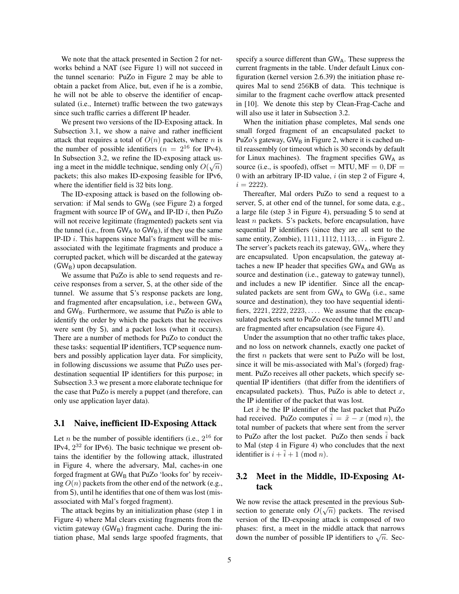We note that the attack presented in Section 2 for networks behind a NAT (see Figure 1) will not succeed in the tunnel scenario: PuZo in Figure 2 may be able to obtain a packet from Alice, but, even if he is a zombie, he will not be able to observe the identifier of encapsulated (i.e., Internet) traffic between the two gateways since such traffic carries a different IP header.

We present two versions of the ID-Exposing attack. In Subsection 3.1, we show a naive and rather inefficient attack that requires a total of  $O(n)$  packets, where n is the number of possible identifiers ( $n = 2^{16}$  for IPv4). In Subsection 3.2, we refine the ID-exposing attack using a meet in the middle technique, sending only  $O(\sqrt{n})$ packets; this also makes ID-exposing feasible for IPv6, where the identifier field is 32 bits long.

The ID-exposing attack is based on the following observation: if Mal sends to  $GW_B$  (see Figure 2) a forged fragment with source IP of  $GW_A$  and IP-ID i, then PuZo will not receive legitimate (fragmented) packets sent via the tunnel (i.e., from  $GW_A$  to  $GW_B$ ), if they use the same IP-ID  $i$ . This happens since Mal's fragment will be misassociated with the legitimate fragments and produce a corrupted packet, which will be discarded at the gateway  $(GW_B)$  upon decapsulation.

We assume that PuZo is able to send requests and receive responses from a server, S, at the other side of the tunnel. We assume that S's response packets are long, and fragmented after encapsulation, i.e., between  $GW_A$ and  $GW_B$ . Furthermore, we assume that PuZo is able to identify the order by which the packets that he receives were sent (by S), and a packet loss (when it occurs). There are a number of methods for PuZo to conduct the these tasks: sequential IP identifiers, TCP sequence numbers and possibly application layer data. For simplicity, in following discussions we assume that PuZo uses perdestination sequential IP identifiers for this purpose; in Subsection 3.3 we present a more elaborate technique for the case that PuZo is merely a puppet (and therefore, can only use application layer data).

### 3.1 Naive, inefficient ID-Exposing Attack

Let *n* be the number of possible identifiers (i.e.,  $2^{16}$  for IPv4,  $2^{32}$  for IPv6). The basic technique we present obtains the identifier by the following attack, illustrated in Figure 4, where the adversary, Mal, caches-in one forged fragment at  $GW_B$  that PuZo 'looks for' by receiving  $O(n)$  packets from the other end of the network (e.g., from S), until he identifies that one of them was lost (misassociated with Mal's forged fragment).

The attack begins by an initialization phase (step 1 in Figure 4) where Mal clears existing fragments from the victim gateway  $(GW_B)$  fragment cache. During the initiation phase, Mal sends large spoofed fragments, that specify a source different than  $GW_A$ . These suppress the current fragments in the table. Under default Linux configuration (kernel version 2.6.39) the initiation phase requires Mal to send 256KB of data. This technique is similar to the fragment cache overflow attack presented in [10]. We denote this step by Clean-Frag-Cache and will also use it later in Subsection 3.2.

When the initiation phase completes, Mal sends one small forged fragment of an encapsulated packet to PuZo's gateway,  $GW_B$  in Figure 2, where it is cached until reassembly (or timeout which is 30 seconds by default for Linux machines). The fragment specifies  $GW_A$  as source (i.e., is spoofed), offset =  $MTU, MF = 0, DF =$ 0 with an arbitrary IP-ID value,  $i$  (in step 2 of Figure 4,  $i = 2222$ .

Thereafter, Mal orders PuZo to send a request to a server, S, at other end of the tunnel, for some data, e.g., a large file (step 3 in Figure 4), persuading S to send at least n packets. S's packets, before encapsulation, have sequential IP identifiers (since they are all sent to the same entity, Zombie), 1111, 1112, 1113, . . . in Figure 2. The server's packets reach its gateway,  $GW_A$ , where they are encapsulated. Upon encapsulation, the gateway attaches a new IP header that specifies  $GW_A$  and  $GW_B$  as source and destination (i.e., gateway to gateway tunnel), and includes a new IP identifier. Since all the encapsulated packets are sent from  $GW_A$  to  $GW_B$  (i.e., same source and destination), they too have sequential identifiers,  $2221, 2222, 2223, \ldots$  We assume that the encapsulated packets sent to PuZo exceed the tunnel MTU and are fragmented after encapsulation (see Figure 4).

Under the assumption that no other traffic takes place, and no loss on network channels, exactly one packet of the first  $n$  packets that were sent to PuZo will be lost, since it will be mis-associated with Mal's (forged) fragment. PuZo receives all other packets, which specify sequential IP identifiers (that differ from the identifiers of encapsulated packets). Thus, PuZo is able to detect  $x$ , the IP identifier of the packet that was lost.

Let  $\tilde{x}$  be the IP identifier of the last packet that PuZo had received. PuZo computes  $\tilde{i} = \tilde{x} - x \pmod{n}$ , the total number of packets that where sent from the server to PuZo after the lost packet. PuZo then sends  $\hat{i}$  back to Mal (step 4 in Figure 4) who concludes that the next identifier is  $i + \tilde{i} + 1 \pmod{n}$ .

## 3.2 Meet in the Middle, ID-Exposing Attack

We now revise the attack presented in the previous Subsection to generate only  $O(\sqrt{n})$  packets. The revised version of the ID-exposing attack is composed of two phases: first, a meet in the middle attack that narrows phases. Inst, a linear in the initiate attack that harrows<br>down the number of possible IP identifiers to  $\sqrt{n}$ . Sec-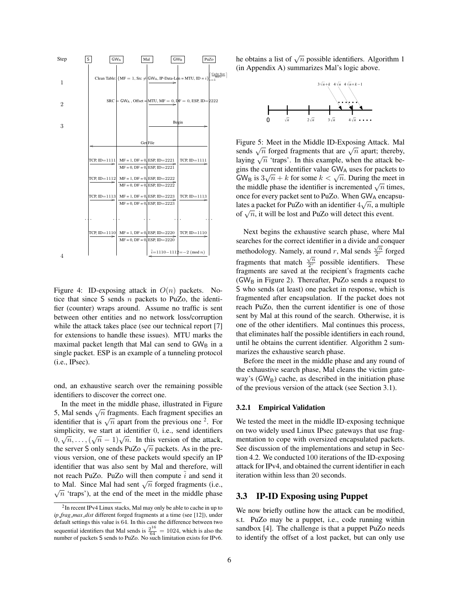

Figure 4: ID-exposing attack in  $O(n)$  packets. Notice that since  $S$  sends  $n$  packets to PuZo, the identifier (counter) wraps around. Assume no traffic is sent between other entities and no network loss/corruption while the attack takes place (see our technical report [7] for extensions to handle these issues). MTU marks the maximal packet length that Mal can send to  $GW_B$  in a single packet. ESP is an example of a tunneling protocol (i.e., IPsec).

ond, an exhaustive search over the remaining possible identifiers to discover the correct one.

In the meet in the middle phase, illustrated in Figure In the meet in the middle phase, must alled in Figure 5, Mal sends  $\sqrt{n}$  fragments. Each fragment specifies an  $\sigma$ , what sends  $\sqrt{n}$  tragments. Each tragment spectries and identifier that is  $\sqrt{n}$  apart from the previous one <sup>2</sup>. For simplicity, we start at identifier 0, i.e., send identifiers simplicity, we start at identifier 0, i.e., send identifiers  $0, \sqrt{n}, \ldots, (\sqrt{n}-1)\sqrt{n}$ . In this version of the attack,  $\sigma, \sqrt{n}, \ldots, (\sqrt{n}-1)\sqrt{n}$ . In this version of the attack,<br>the server S only sends PuZo  $\sqrt{n}$  packets. As in the previous version, one of these packets would specify an IP identifier that was also sent by Mal and therefore, will not reach PuZo. PuZo will then compute  $i$  and send it to Mal. Since Mal had sent  $\sqrt{n}$  forged fragments (i.e.,  $\sqrt{n}$  'traps'), at the end of the meet in the middle phase

he obtains a list of  $\sqrt{n}$  possible identifiers. Algorithm 1 (in Appendix A) summarizes Mal's logic above.



Figure 5: Meet in the Middle ID-Exposing Attack. Mal Figure 5. Meet in the Middle ID-Exposing Attack. Maintends  $\sqrt{n}$  forged fragments that are  $\sqrt{n}$  apart; thereby, Sends  $\sqrt{n}$  torged riagnments that are  $\sqrt{n}$  apart, thereby, laying  $\sqrt{n}$  'traps'. In this example, when the attack begins the current identifier value GW<sub>A</sub> uses for packets to gins the current identifier value GWA uses for packets to<br>GW<sub>B</sub> is  $3\sqrt{n} + k$  for some  $k < \sqrt{n}$ . During the meet in Given is  $3\sqrt{n} + \kappa$  for some  $\kappa < \sqrt{n}$ . During the ineed in the middle phase the identifier is incremented  $\sqrt{n}$  times, once for every packet sent to PuZo. When  $GW_A$  encapsulates a packet for PuZo with an identifier  $4\sqrt{n}$ , a multiple rates a packet for Fuzo with an identifier  $4\sqrt{n}$ , a multiply of  $\sqrt{n}$ , it will be lost and PuZo will detect this event.

Next begins the exhaustive search phase, where Mal searches for the correct identifier in a divide and conquer methodology. Namely, at round r, Mal sends  $\frac{\sqrt{n}}{2r}$  $\frac{\sqrt{n}}{2^r}$  forged fragments that match  $\frac{\sqrt{n}}{2r}$  $\frac{\sqrt{n}}{2^r}$  possible identifiers. These fragments are saved at the recipient's fragments cache (GW<sub>B</sub> in Figure 2). Thereafter, PuZo sends a request to S who sends (at least) one packet in response, which is fragmented after encapsulation. If the packet does not reach PuZo, then the current identifier is one of those sent by Mal at this round of the search. Otherwise, it is one of the other identifiers. Mal continues this process, that eliminates half the possible identifiers in each round, until he obtains the current identifier. Algorithm 2 summarizes the exhaustive search phase.

Before the meet in the middle phase and any round of the exhaustive search phase, Mal cleans the victim gateway's  $(GW_B)$  cache, as described in the initiation phase of the previous version of the attack (see Section 3.1).

#### 3.2.1 Empirical Validation

We tested the meet in the middle ID-exposing technique on two widely used Linux IPsec gateways that use fragmentation to cope with oversized encapsulated packets. See discussion of the implementations and setup in Section 4.2. We conducted 100 iterations of the ID-exposing attack for IPv4, and obtained the current identifier in each iteration within less than 20 seconds.

### 3.3 IP-ID Exposing using Puppet

We now briefly outline how the attack can be modified, s.t. PuZo may be a puppet, i.e., code running within sandbox [4]. The challenge is that a puppet PuZo needs to identify the offset of a lost packet, but can only use

<sup>&</sup>lt;sup>2</sup>In recent IPv4 Linux stacks, Mal may only be able to cache in up to *ip frag max dist* different forged fragments at a time (see [12]), under default settings this value is 64. In this case the difference between two sequential identifiers that Mal sends is  $\frac{2^{16}}{64} = 1024$ , which is also the number of packets S sends to PuZo. No such limitation exists for IPv6.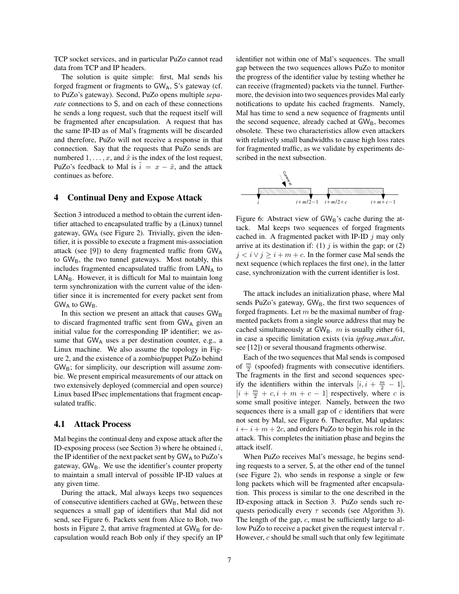TCP socket services, and in particular PuZo cannot read data from TCP and IP headers.

The solution is quite simple: first, Mal sends his forged fragment or fragments to  $GW_A$ , S's gateway (cf. to PuZo's gateway). Second, PuZo opens multiple *separate* connections to S, and on each of these connections he sends a long request, such that the request itself will be fragmented after encapsulation. A request that has the same IP-ID as of Mal's fragments will be discarded and therefore, PuZo will not receive a response in that connection. Say that the requests that PuZo sends are numbered  $1, \ldots, x$ , and  $\tilde{x}$  is the index of the lost request, PuZo's feedback to Mal is  $\tilde{i} = x - \tilde{x}$ , and the attack continues as before.

## 4 Continual Deny and Expose Attack

Section 3 introduced a method to obtain the current identifier attached to encapsulated traffic by a (Linux) tunnel gateway,  $GW_A$  (see Figure 2). Trivially, given the identifier, it is possible to execute a fragment mis-association attack (see [9]) to deny fragmented traffic from  $GW_A$ to GW<sub>B</sub>, the two tunnel gateways. Most notably, this includes fragmented encapsulated traffic from  $\mathsf{LAN}_A$  to  $LAN_B$ . However, it is difficult for Mal to maintain long term synchronization with the current value of the identifier since it is incremented for every packet sent from  $GW_A$  to  $GW_B$ .

In this section we present an attack that causes  $GW_B$ to discard fragmented traffic sent from  $GW_A$  given an initial value for the corresponding IP identifier; we assume that  $GW_A$  uses a per destination counter, e.g., a Linux machine. We also assume the topology in Figure 2, and the existence of a zombie/puppet PuZo behind  $GW<sub>B</sub>$ ; for simplicity, our description will assume zombie. We present empirical measurements of our attack on two extensively deployed (commercial and open source) Linux based IPsec implementations that fragment encapsulated traffic.

## 4.1 Attack Process

Mal begins the continual deny and expose attack after the ID-exposing process (see Section 3) where he obtained  $i$ , the IP identifier of the next packet sent by  $GW_A$  to PuZo's gateway,  $GW_B$ . We use the identifier's counter property to maintain a small interval of possible IP-ID values at any given time.

During the attack, Mal always keeps two sequences of consecutive identifiers cached at  $GW_B$ , between these sequences a small gap of identifiers that Mal did not send, see Figure 6. Packets sent from Alice to Bob, two hosts in Figure 2, that arrive fragmented at  $GW<sub>B</sub>$  for decapsulation would reach Bob only if they specify an IP identifier not within one of Mal's sequences. The small gap between the two sequences allows PuZo to monitor the progress of the identifier value by testing whether he can receive (fragmented) packets via the tunnel. Furthermore, the devision into two sequences provides Mal early notifications to update his cached fragments. Namely, Mal has time to send a new sequence of fragments until the second sequence, already cached at  $GW_B$ , becomes obsolete. These two characteristics allow even attackers with relatively small bandwidths to cause high loss rates for fragmented traffic, as we validate by experiments described in the next subsection.



Figure 6: Abstract view of  $GW_B$ 's cache during the attack. Mal keeps two sequences of forged fragments cached in. A fragmented packet with IP-ID  $j$  may only arrive at its destination if: (1)  $j$  is within the gap; or (2)  $j < i \vee j \ge i + m + c$ . In the former case Mal sends the next sequence (which replaces the first one), in the latter case, synchronization with the current identifier is lost.

The attack includes an initialization phase, where Mal sends PuZo's gateway,  $GW_B$ , the first two sequences of forged fragments. Let  $m$  be the maximal number of fragmented packets from a single source address that may be cached simultaneously at  $GW_B$ . m is usually either 64, in case a specific limitation exists (via *ipfrag max dist*, see [12]) or several thousand fragments otherwise.

Each of the two sequences that Mal sends is composed of  $\frac{m}{2}$  (spoofed) fragments with consecutive identifiers. The fragments in the first and second sequences specify the identifiers within the intervals  $[i, i + \frac{m}{2} - 1]$ ,  $[i + \frac{m}{2} + c, i + m + c - 1]$  respectively, where c is some small positive integer. Namely, between the two sequences there is a small gap of  $c$  identifiers that were not sent by Mal, see Figure 6. Thereafter, Mal updates:  $i \leftarrow i + m + 2c$ , and orders PuZo to begin his role in the attack. This completes the initiation phase and begins the attack itself.

When PuZo receives Mal's message, he begins sending requests to a server, S, at the other end of the tunnel (see Figure 2), who sends in response a single or few long packets which will be fragmented after encapsulation. This process is similar to the one described in the ID-exposing attack in Section 3. PuZo sends such requests periodically every  $\tau$  seconds (see Algorithm 3). The length of the gap, c, must be sufficiently large to allow PuZo to receive a packet given the request interval  $\tau$ . However,  $c$  should be small such that only few legitimate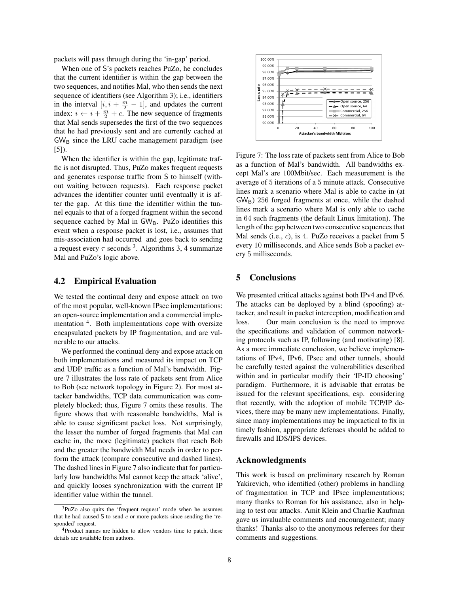packets will pass through during the 'in-gap' period.

When one of S's packets reaches PuZo, he concludes that the current identifier is within the gap between the two sequences, and notifies Mal, who then sends the next sequence of identifiers (see Algorithm 3); i.e., identifiers in the interval  $[i, i + \frac{m}{2} - 1]$ , and updates the current index:  $i \leftarrow i + \frac{m}{2} + c$ . The new sequence of fragments that Mal sends supersedes the first of the two sequences that he had previously sent and are currently cached at  $GW<sub>B</sub>$  since the LRU cache management paradigm (see [5]).

When the identifier is within the gap, legitimate traffic is not disrupted. Thus, PuZo makes frequent requests and generates response traffic from S to himself (without waiting between requests). Each response packet advances the identifier counter until eventually it is after the gap. At this time the identifier within the tunnel equals to that of a forged fragment within the second sequence cached by Mal in  $GW_B$ . PuZo identifies this event when a response packet is lost, i.e., assumes that mis-association had occurred and goes back to sending a request every  $\tau$  seconds <sup>3</sup>. Algorithms 3, 4 summarize Mal and PuZo's logic above.

### 4.2 Empirical Evaluation

We tested the continual deny and expose attack on two of the most popular, well-known IPsec implementations: an open-source implementation and a commercial implementation <sup>4</sup>. Both implementations cope with oversize encapsulated packets by IP fragmentation, and are vulnerable to our attacks.

We performed the continual deny and expose attack on both implementations and measured its impact on TCP and UDP traffic as a function of Mal's bandwidth. Figure 7 illustrates the loss rate of packets sent from Alice to Bob (see network topology in Figure 2). For most attacker bandwidths, TCP data communication was completely blocked; thus, Figure 7 omits these results. The figure shows that with reasonable bandwidths, Mal is able to cause significant packet loss. Not surprisingly, the lesser the number of forged fragments that Mal can cache in, the more (legitimate) packets that reach Bob and the greater the bandwidth Mal needs in order to perform the attack (compare consecutive and dashed lines). The dashed lines in Figure 7 also indicate that for particularly low bandwidths Mal cannot keep the attack 'alive', and quickly looses synchronization with the current IP identifier value within the tunnel.



Figure 7: The loss rate of packets sent from Alice to Bob as a function of Mal's bandwidth. All bandwidths except Mal's are 100Mbit/sec. Each measurement is the average of 5 iterations of a 5 minute attack. Consecutive lines mark a scenario where Mal is able to cache in (at  $GW_{\rm B}$ ) 256 forged fragments at once, while the dashed lines mark a scenario where Mal is only able to cache in 64 such fragments (the default Linux limitation). The length of the gap between two consecutive sequences that Mal sends (i.e., c), is 4. PuZo receives a packet from S every 10 milliseconds, and Alice sends Bob a packet every 5 milliseconds.

## 5 Conclusions

We presented critical attacks against both IPv4 and IPv6. The attacks can be deployed by a blind (spoofing) attacker, and result in packet interception, modification and loss. Our main conclusion is the need to improve the specifications and validation of common networking protocols such as IP, following (and motivating) [8]. As a more immediate conclusion, we believe implementations of IPv4, IPv6, IPsec and other tunnels, should be carefully tested against the vulnerabilities described within and in particular modify their 'IP-ID choosing' paradigm. Furthermore, it is advisable that erratas be issued for the relevant specifications, esp. considering that recently, with the adoption of mobile TCP/IP devices, there may be many new implementations. Finally, since many implementations may be impractical to fix in timely fashion, appropriate defenses should be added to firewalls and IDS/IPS devices.

### Acknowledgments

This work is based on preliminary research by Roman Yakirevich, who identified (other) problems in handling of fragmentation in TCP and IPsec implementations; many thanks to Roman for his assistance, also in helping to test our attacks. Amit Klein and Charlie Kaufman gave us invaluable comments and encouragement; many thanks! Thanks also to the anonymous referees for their comments and suggestions.

<sup>3</sup>PuZo also quits the 'frequent request' mode when he assumes that he had caused  $S$  to send  $c$  or more packets since sending the 'responded' request.

<sup>4</sup>Product names are hidden to allow vendors time to patch, these details are available from authors.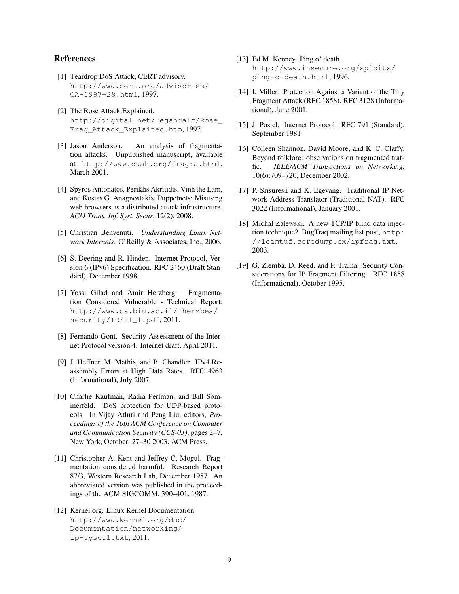## References

- [1] Teardrop DoS Attack, CERT advisory. http://www.cert.org/advisories/ CA-1997-28.html, 1997.
- [2] The Rose Attack Explained. http://digital.net/˜egandalf/Rose\_ Frag\_Attack\_Explained.htm, 1997.
- [3] Jason Anderson. An analysis of fragmentation attacks. Unpublished manuscript, available at http://www.ouah.org/fragma.html, March 2001.
- [4] Spyros Antonatos, Periklis Akritidis, Vinh the Lam, and Kostas G. Anagnostakis. Puppetnets: Misusing web browsers as a distributed attack infrastructure. *ACM Trans. Inf. Syst. Secur*, 12(2), 2008.
- [5] Christian Benvenuti. *Understanding Linux Network Internals*. O'Reilly & Associates, Inc., 2006.
- [6] S. Deering and R. Hinden. Internet Protocol, Version 6 (IPv6) Specification. RFC 2460 (Draft Standard), December 1998.
- [7] Yossi Gilad and Amir Herzberg. Fragmentation Considered Vulnerable - Technical Report. http://www.cs.biu.ac.il/˜herzbea/ security/TR/11\_1.pdf, 2011.
- [8] Fernando Gont. Security Assessment of the Internet Protocol version 4. Internet draft, April 2011.
- [9] J. Heffner, M. Mathis, and B. Chandler. IPv4 Reassembly Errors at High Data Rates. RFC 4963 (Informational), July 2007.
- [10] Charlie Kaufman, Radia Perlman, and Bill Sommerfeld. DoS protection for UDP-based protocols. In Vijay Atluri and Peng Liu, editors, *Proceedings of the 10th ACM Conference on Computer and Communication Security (CCS-03)*, pages 2–7, New York, October 27–30 2003. ACM Press.
- [11] Christopher A. Kent and Jeffrey C. Mogul. Fragmentation considered harmful. Research Report 87/3, Western Research Lab, December 1987. An abbreviated version was published in the proceedings of the ACM SIGCOMM, 390–401, 1987.
- [12] Kernel.org. Linux Kernel Documentation. http://www.kernel.org/doc/ Documentation/networking/ ip-sysctl.txt, 2011.
- [13] Ed M. Kenney. Ping o' death. http://www.insecure.org/sploits/ ping-o-death.html, 1996.
- [14] I. Miller. Protection Against a Variant of the Tiny Fragment Attack (RFC 1858). RFC 3128 (Informational), June 2001.
- [15] J. Postel. Internet Protocol. RFC 791 (Standard), September 1981.
- [16] Colleen Shannon, David Moore, and K. C. Claffy. Beyond folklore: observations on fragmented traffic. *IEEE/ACM Transactions on Networking*, 10(6):709–720, December 2002.
- [17] P. Srisuresh and K. Egevang. Traditional IP Network Address Translator (Traditional NAT). RFC 3022 (Informational), January 2001.
- [18] Michal Zalewski. A new TCP/IP blind data injection technique? BugTraq mailing list post, http: //lcamtuf.coredump.cx/ipfrag.txt, 2003.
- [19] G. Ziemba, D. Reed, and P. Traina. Security Considerations for IP Fragment Filtering. RFC 1858 (Informational), October 1995.